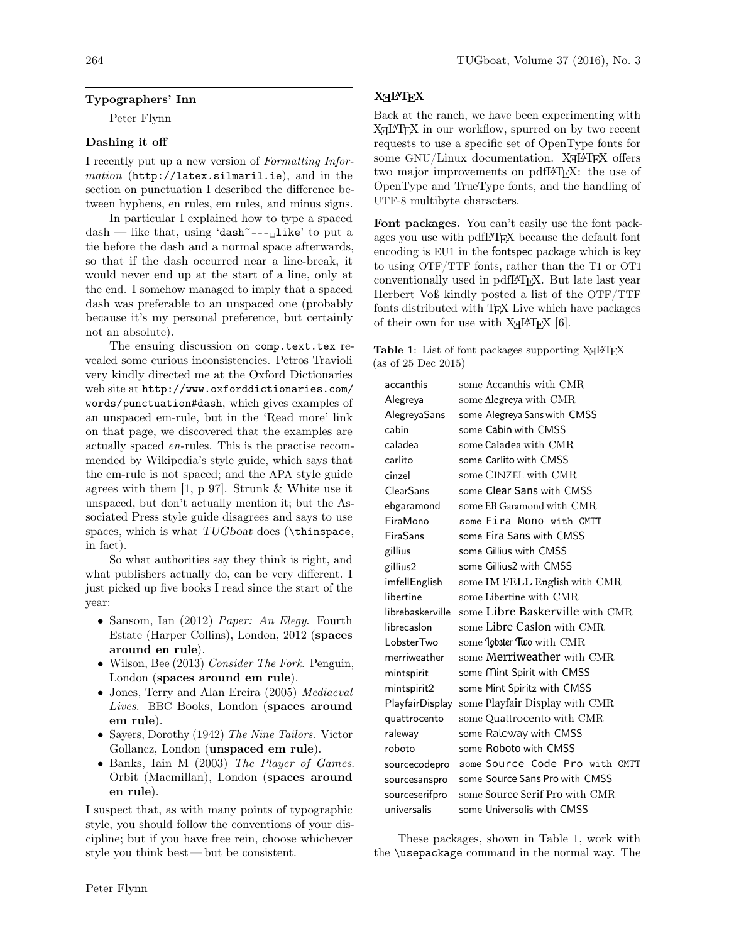### Typographers' Inn

Peter Flynn

### Dashing it off

I recently put up a new version of Formatting Information (http://latex.silmaril.ie), and in the section on punctuation I described the difference between hyphens, en rules, em rules, and minus signs.

In particular I explained how to type a spaced  $dash$  — like that, using 'dash<sup>----</sup> $\Box$ like' to put a tie before the dash and a normal space afterwards, so that if the dash occurred near a line-break, it would never end up at the start of a line, only at the end. I somehow managed to imply that a spaced dash was preferable to an unspaced one (probably because it's my personal preference, but certainly not an absolute).

The ensuing discussion on comp.text.tex revealed some curious inconsistencies. Petros Travioli very kindly directed me at the Oxford Dictionaries web site at http://www.oxforddictionaries.com/ words/punctuation#dash, which gives examples of an unspaced em-rule, but in the 'Read more' link on that page, we discovered that the examples are actually spaced en-rules. This is the practise recommended by Wikipedia's style guide, which says that the em-rule is not spaced; and the APA style guide agrees with them [1, p 97]. Strunk & White use it unspaced, but don't actually mention it; but the Associated Press style guide disagrees and says to use spaces, which is what TUGboat does (\thinspace, in fact).

So what authorities say they think is right, and what publishers actually do, can be very different. I just picked up five books I read since the start of the year:

- Sansom, Ian (2012) Paper: An Elegy. Fourth Estate (Harper Collins), London, 2012 (spaces around en rule).
- Wilson, Bee (2013) Consider The Fork. Penguin, London (spaces around em rule).
- Jones, Terry and Alan Ereira (2005) Mediaeval Lives. BBC Books, London (spaces around em rule).
- Sayers, Dorothy (1942) The Nine Tailors. Victor Gollancz, London (unspaced em rule).
- Banks, Iain M (2003) The Player of Games. Orbit (Macmillan), London (spaces around en rule).

I suspect that, as with many points of typographic style, you should follow the conventions of your discipline; but if you have free rein, choose whichever style you think best — but be consistent.

# X<sub>H</sub>PT<sub>E</sub>X

Back at the ranch, we have been experimenting with X<sub>H</sub>L<sup>AT</sup>EX in our workflow, spurred on by two recent requests to use a specific set of OpenType fonts for some  $\mathrm{GNU}/\mathrm{Linux}$  documentation. XqL4TEX offers two major improvements on pdfL<sup>AT</sup>FX: the use of OpenType and TrueType fonts, and the handling of UTF-8 multibyte characters.

Font packages. You can't easily use the font packages you use with pdfL<sup>A</sup>TEX because the default font encoding is EU1 in the fontspec package which is key to using OTF/TTF fonts, rather than the T1 or OT1 conventionally used in pdfL<sup>A</sup>TEX. But late last year Herbert Voß kindly posted a list of the OTF/TTF fonts distributed with T<sub>E</sub>X Live which have packages of their own for use with  $X \rightarrow E$  [6].

Table 1: List of font packages supporting  $X\exists H\boxtimes Y$ (as of 25 Dec 2015)

| accanthis        | some Accanthis with CMR                |  |  |  |
|------------------|----------------------------------------|--|--|--|
| Alegreya         | some Alegreya with CMR                 |  |  |  |
| AlegreyaSans     | some Alegreya Sans with CMSS           |  |  |  |
| cabin            | some Cabin with CMSS                   |  |  |  |
| caladea          | some Caladea with CMR                  |  |  |  |
| carlito          | some Carlito with CMSS                 |  |  |  |
| cinzel           | some CINZEL with CMR                   |  |  |  |
| ClearSans        | some Clear Sans with CMSS              |  |  |  |
| ebgaramond       | some EB Garamond with CMR.             |  |  |  |
| FiraMono         | some Fira Mono with CMTT               |  |  |  |
| FiraSans         | some Fira Sans with CMSS               |  |  |  |
| gillius          | some Gillius with CMSS                 |  |  |  |
| gillius2         | some Gillius2 with CMSS                |  |  |  |
| imfellEnglish    | some IM FELL English with CMR          |  |  |  |
| libertine        | some Libertine with CMR                |  |  |  |
| librebaskerville | some Libre Baskerville with CMR        |  |  |  |
| librecaslon      | some Libre Caslon with CMR             |  |  |  |
| Lobster Two      | some <b>lobster Two</b> with CMR       |  |  |  |
| merriweather     | some <b>Merriweather</b> with CMR      |  |  |  |
| mintspirit       | some Mint Spirit with CMSS             |  |  |  |
| mintspirit2      | some Mint Spiritz with CMSS            |  |  |  |
| PlayfairDisplay  | some Playfair Display with CMR         |  |  |  |
| quattrocento     | some Quattrocento with CMR             |  |  |  |
| raleway          | some Raleway with CMSS                 |  |  |  |
| roboto           | some Roboto with CMSS                  |  |  |  |
| sourcecodepro    | some Source Code Pro with CMTT         |  |  |  |
| sourcesanspro    | some Source Sans Pro with CMSS         |  |  |  |
| sourceserifpro   | some <b>Source Serif Pro</b> with CMR. |  |  |  |
| universalis      | some Universalis with CMSS             |  |  |  |

These packages, shown in Table 1, work with the \usepackage command in the normal way. The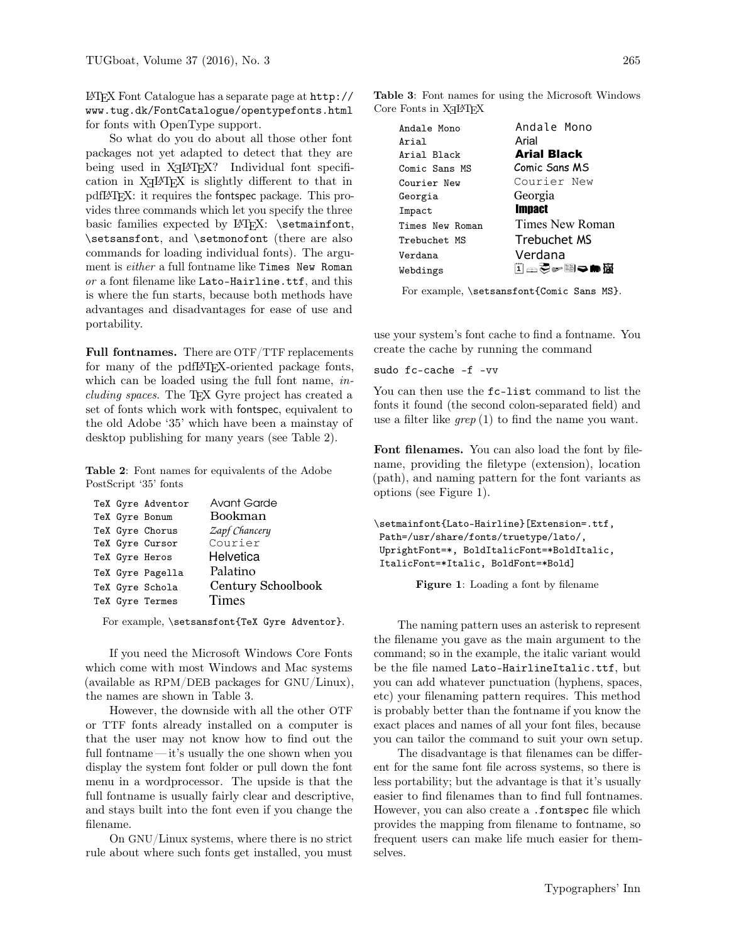L<sup>A</sup>TEX Font Catalogue has a separate page at http:// www.tug.dk/FontCatalogue/opentypefonts.html for fonts with OpenType support.

So what do you do about all those other font packages not yet adapted to detect that they are being used in X<sub>H</sub>IAT<sub>E</sub>X? Individual font specification in X<sub>H</sub>IAT<sub>E</sub>X is slightly different to that in pdfL<sup>A</sup>TEX: it requires the fontspec package. This provides three commands which let you specify the three basic families expected by LATFX: \setmainfont, \setsansfont, and \setmonofont (there are also commands for loading individual fonts). The argument is either a full fontname like Times New Roman or a font filename like Lato-Hairline.ttf, and this is where the fun starts, because both methods have advantages and disadvantages for ease of use and portability.

Full fontnames. There are OTF/TTF replacements for many of the pdfL<sup>AT</sup>EX-oriented package fonts, which can be loaded using the full font name, *in*cluding spaces. The TEX Gyre project has created a set of fonts which work with fontspec, equivalent to the old Adobe '35' which have been a mainstay of desktop publishing for many years (see Table 2).

Table 2: Font names for equivalents of the Adobe PostScript '35' fonts

|  | TeX Gyre Adventor | <b>Avant Garde</b> |  |  |
|--|-------------------|--------------------|--|--|
|  | TeX Gyre Bonum    | Bookman            |  |  |
|  | TeX Gyre Chorus   | Zapf Chancery      |  |  |
|  | TeX Gyre Cursor   | Courier            |  |  |
|  | TeX Gyre Heros    | Helvetica          |  |  |
|  | TeX Gyre Pagella  | Palatino           |  |  |
|  | TeX Gyre Schola   | Century Schoolbook |  |  |
|  | TeX Gyre Termes   | <b>Times</b>       |  |  |

For example, \setsansfont{TeX Gyre Adventor}.

If you need the Microsoft Windows Core Fonts which come with most Windows and Mac systems (available as RPM/DEB packages for GNU/Linux), the names are shown in Table 3.

However, the downside with all the other OTF or TTF fonts already installed on a computer is that the user may not know how to find out the full fontname — it's usually the one shown when you display the system font folder or pull down the font menu in a wordprocessor. The upside is that the full fontname is usually fairly clear and descriptive, and stays built into the font even if you change the filename.

On GNU/Linux systems, where there is no strict rule about where such fonts get installed, you must

Table 3: Font names for using the Microsoft Windows Core Fonts in  $X\exists I\forall T\exists X$ 

| Andale Mono     |  |  |  |
|-----------------|--|--|--|
| Arial           |  |  |  |
| Arial Black     |  |  |  |
| Comic Sans MS   |  |  |  |
| Courier New     |  |  |  |
| Georgia         |  |  |  |
| <b>Impact</b>   |  |  |  |
| Times New Roman |  |  |  |
| Trebuchet MS    |  |  |  |
| Verdana         |  |  |  |
| ▯▭ਨ☞▤◒▬▧        |  |  |  |
|                 |  |  |  |

For example, \setsansfont{Comic Sans MS}.

use your system's font cache to find a fontname. You create the cache by running the command

#### sudo fc-cache -f -vv

You can then use the fc-list command to list the fonts it found (the second colon-separated field) and use a filter like  $\text{green}(1)$  to find the name you want.

Font filenames. You can also load the font by filename, providing the filetype (extension), location (path), and naming pattern for the font variants as options (see Figure 1).

\setmainfont{Lato-Hairline}[Extension=.ttf, Path=/usr/share/fonts/truetype/lato/, UprightFont=\*, BoldItalicFont=\*BoldItalic, ItalicFont=\*Italic, BoldFont=\*Bold]

Figure 1: Loading a font by filename

The naming pattern uses an asterisk to represent the filename you gave as the main argument to the command; so in the example, the italic variant would be the file named Lato-HairlineItalic.ttf, but you can add whatever punctuation (hyphens, spaces, etc) your filenaming pattern requires. This method is probably better than the fontname if you know the exact places and names of all your font files, because you can tailor the command to suit your own setup.

The disadvantage is that filenames can be different for the same font file across systems, so there is less portability; but the advantage is that it's usually easier to find filenames than to find full fontnames. However, you can also create a .fontspec file which provides the mapping from filename to fontname, so frequent users can make life much easier for themselves.